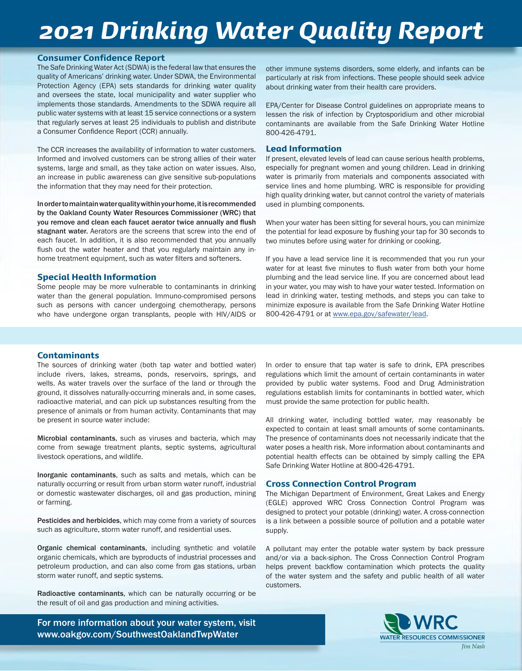# *2021 Drinking Water Quality Report*

#### Consumer Confidence Report

The Safe Drinking Water Act (SDWA) is the federal law that ensures the quality of Americans' drinking water. Under SDWA, the Environmental Protection Agency (EPA) sets standards for drinking water quality and oversees the state, local municipality and water supplier who implements those standards. Amendments to the SDWA require all public water systems with at least 15 service connections or a system that regularly serves at least 25 individuals to publish and distribute a Consumer Confidence Report (CCR) annually.

The CCR increases the availability of information to water customers. Informed and involved customers can be strong allies of their water systems, large and small, as they take action on water issues. Also, an increase in public awareness can give sensitive sub-populations the information that they may need for their protection.

In order to maintain water quality within your home, it is recommended by the Oakland County Water Resources Commissioner (WRC) that you remove and clean each faucet aerator twice annually and flush stagnant water. Aerators are the screens that screw into the end of each faucet. In addition, it is also recommended that you annually flush out the water heater and that you regularly maintain any inhome treatment equipment, such as water filters and softeners.

#### Special Health Information

Some people may be more vulnerable to contaminants in drinking water than the general population. Immuno-compromised persons such as persons with cancer undergoing chemotherapy, persons who have undergone organ transplants, people with HIV/AIDS or

other immune systems disorders, some elderly, and infants can be particularly at risk from infections. These people should seek advice about drinking water from their health care providers.

EPA/Center for Disease Control guidelines on appropriate means to lessen the risk of infection by Cryptosporidium and other microbial contaminants are available from the Safe Drinking Water Hotline 800-426-4791.

#### Lead Information

If present, elevated levels of lead can cause serious health problems, especially for pregnant women and young children. Lead in drinking water is primarily from materials and components associated with service lines and home plumbing. WRC is responsible for providing high quality drinking water, but cannot control the variety of materials used in plumbing components.

When your water has been sitting for several hours, you can minimize the potential for lead exposure by flushing your tap for 30 seconds to two minutes before using water for drinking or cooking.

If you have a lead service line it is recommended that you run your water for at least five minutes to flush water from both your home plumbing and the lead service line. If you are concerned about lead in your water, you may wish to have your water tested. Information on lead in drinking water, testing methods, and steps you can take to minimize exposure is available from the Safe Drinking Water Hotline 800-426-4791 or at www.epa.gov/safewater/lead.

#### Contaminants

The sources of drinking water (both tap water and bottled water) include rivers, lakes, streams, ponds, reservoirs, springs, and wells. As water travels over the surface of the land or through the ground, it dissolves naturally-occurring minerals and, in some cases, radioactive material, and can pick up substances resulting from the presence of animals or from human activity. Contaminants that may be present in source water include:

Microbial contaminants, such as viruses and bacteria, which may come from sewage treatment plants, septic systems, agricultural livestock operations, and wildlife.

Inorganic contaminants, such as salts and metals, which can be naturally occurring or result from urban storm water runoff, industrial or domestic wastewater discharges, oil and gas production, mining or farming.

Pesticides and herbicides, which may come from a variety of sources such as agriculture, storm water runoff, and residential uses.

Organic chemical contaminants, including synthetic and volatile organic chemicals, which are byproducts of industrial processes and petroleum production, and can also come from gas stations, urban storm water runoff, and septic systems.

Radioactive contaminants, which can be naturally occurring or be the result of oil and gas production and mining activities.

For more information about your water system, visit www.oakgov.com/SouthwestOaklandTwpWater

In order to ensure that tap water is safe to drink, EPA prescribes regulations which limit the amount of certain contaminants in water provided by public water systems. Food and Drug Administration regulations establish limits for contaminants in bottled water, which must provide the same protection for public health.

All drinking water, including bottled water, may reasonably be expected to contain at least small amounts of some contaminants. The presence of contaminants does not necessarily indicate that the water poses a health risk. More information about contaminants and potential health effects can be obtained by simply calling the EPA Safe Drinking Water Hotline at 800-426-4791.

#### Cross Connection Control Program

The Michigan Department of Environment, Great Lakes and Energy (EGLE) approved WRC Cross Connection Control Program was designed to protect your potable (drinking) water. A cross-connection is a link between a possible source of pollution and a potable water supply.

A pollutant may enter the potable water system by back pressure and/or via a back-siphon. The Cross Connection Control Program helps prevent backflow contamination which protects the quality of the water system and the safety and public health of all water customers.

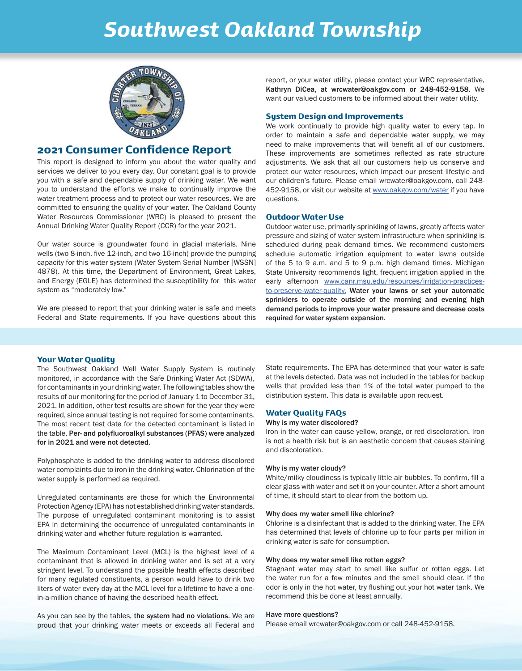# *Southwest Oakland Township*



### 2021 Consumer Confidence Report

This report is designed to inform you about the water quality and services we deliver to you every day. Our constant goal is to provide you with a safe and dependable supply of drinking water. We want you to understand the efforts we make to continually improve the water treatment process and to protect our water resources. We are committed to ensuring the quality of your water. The Oakland County Water Resources Commissioner (WRC) is pleased to present the Annual Drinking Water Quality Report (CCR) for the year 2021.

Our water source is groundwater found in glacial materials. Nine wells (two 8-inch, five 12-inch, and two 16-inch) provide the pumping capacity for this water system (Water System Serial Number [WSSN] 4878). At this time, the Department of Environment, Great Lakes, and Energy (EGLE) has determined the susceptibility for this water system as "moderately low."

We are pleased to report that your drinking water is safe and meets Federal and State requirements. If you have questions about this report, or your water utility, please contact your WRC representative, Kathryn DiCea, at wrcwater@oakgov.com or 248-452-9158. We want our valued customers to be informed about their water utility.

#### System Design and Improvements

We work continually to provide high quality water to every tap. In order to maintain a safe and dependable water supply, we may need to make improvements that will benefit all of our customers. These improvements are sometimes reflected as rate structure adjustments. We ask that all our customers help us conserve and protect our water resources, which impact our present lifestyle and our children's future. Please email wrcwater@oakgov.com, call 248- 452-9158, or visit our website at www.oakgov.com/water if you have questions.

#### Outdoor Water Use

Outdoor water use, primarily sprinkling of lawns, greatly affects water pressure and sizing of water system infrastructure when sprinkling is scheduled during peak demand times. We recommend customers schedule automatic irrigation equipment to water lawns outside of the 5 to 9 a.m. and 5 to 9 p.m. high demand times. Michigan State University recommends light, frequent irrigation applied in the early afternoon www.canr.msu.edu/resources/irrigation-practicesto-preserve-water-quality. Water your lawns or set your automatic sprinklers to operate outside of the morning and evening high demand periods to improve your water pressure and decrease costs required for water system expansion.

#### Your Water Quality

The Southwest Oakland Well Water Supply System is routinely monitored, in accordance with the Safe Drinking Water Act (SDWA), for contaminants in your drinking water. The following tables show the results of our monitoring for the period of January 1 to December 31, 2021. In addition, other test results are shown for the year they were required, since annual testing is not required for some contaminants. The most recent test date for the detected contaminant is listed in the table. Per- and polyfluoroalkyl substances (PFAS) were analyzed for in 2021 and were not detected.

Polyphosphate is added to the drinking water to address discolored water complaints due to iron in the drinking water. Chlorination of the water supply is performed as required.

Unregulated contaminants are those for which the Environmental Protection Agency (EPA) has not established drinking water standards. The purpose of unregulated contaminant monitoring is to assist EPA in determining the occurrence of unregulated contaminants in drinking water and whether future regulation is warranted.

The Maximum Contaminant Level (MCL) is the highest level of a contaminant that is allowed in drinking water and is set at a very stringent level. To understand the possible health effects described for many regulated constituents, a person would have to drink two liters of water every day at the MCL level for a lifetime to have a onein-a-million chance of having the described health effect.

As you can see by the tables, the system had no violations. We are proud that your drinking water meets or exceeds all Federal and State requirements. The EPA has determined that your water is safe at the levels detected. Data was not included in the tables for backup wells that provided less than 1% of the total water pumped to the distribution system. This data is available upon request.

#### Water Quality FAQs

#### Why is my water discolored?

Iron in the water can cause yellow, orange, or red discoloration. Iron is not a health risk but is an aesthetic concern that causes staining and discoloration.

#### Why is my water cloudy?

White/milky cloudiness is typically little air bubbles. To confirm, fill a clear glass with water and set it on your counter. After a short amount of time, it should start to clear from the bottom up.

#### Why does my water smell like chlorine?

Chlorine is a disinfectant that is added to the drinking water. The EPA has determined that levels of chlorine up to four parts per million in drinking water is safe for consumption.

#### Why does my water smell like rotten eggs?

Stagnant water may start to smell like sulfur or rotten eggs. Let the water run for a few minutes and the smell should clear. If the odor is only in the hot water, try flushing out your hot water tank. We recommend this be done at least annually.

#### Have more questions?

Please email wrcwater@oakgov.com or call 248-452-9158.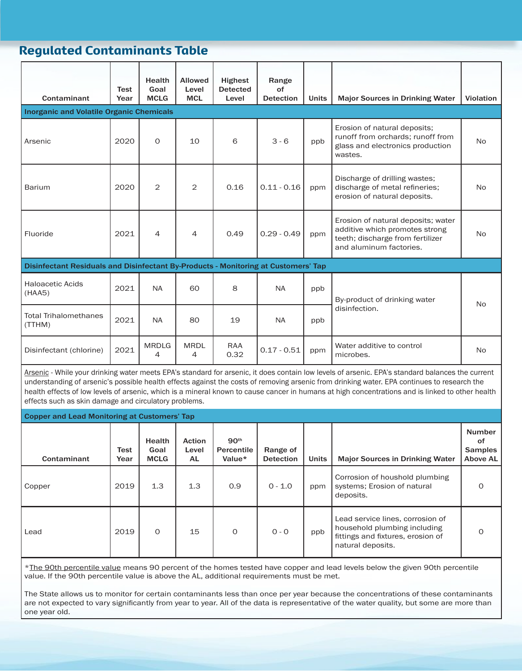# Regulated Contaminants Table

| Contaminant                                                                                                                                                                                                                                                                                                                                                                                                                                                                                                  | Test<br>Year | <b>Health</b><br>Goal<br><b>MCLG</b> | <b>Allowed</b><br>Level<br><b>MCL</b> | <b>Highest</b><br><b>Detected</b><br>Level | Range<br>of<br><b>Detection</b> | <b>Units</b> | <b>Major Sources in Drinking Water</b>                                                                                              | <b>Violation</b> |  |
|--------------------------------------------------------------------------------------------------------------------------------------------------------------------------------------------------------------------------------------------------------------------------------------------------------------------------------------------------------------------------------------------------------------------------------------------------------------------------------------------------------------|--------------|--------------------------------------|---------------------------------------|--------------------------------------------|---------------------------------|--------------|-------------------------------------------------------------------------------------------------------------------------------------|------------------|--|
| <b>Inorganic and Volatile Organic Chemicals</b>                                                                                                                                                                                                                                                                                                                                                                                                                                                              |              |                                      |                                       |                                            |                                 |              |                                                                                                                                     |                  |  |
| Arsenic                                                                                                                                                                                                                                                                                                                                                                                                                                                                                                      | 2020         | $\Omega$                             | 10                                    | 6                                          | $3 - 6$                         | ppb          | Erosion of natural deposits;<br>runoff from orchards; runoff from<br>glass and electronics production<br>wastes.                    | <b>No</b>        |  |
| <b>Barium</b>                                                                                                                                                                                                                                                                                                                                                                                                                                                                                                | 2020         | 2                                    | 2                                     | 0.16                                       | $0.11 - 0.16$                   | ppm          | Discharge of drilling wastes;<br>discharge of metal refineries;<br>erosion of natural deposits.                                     | <b>No</b>        |  |
| Fluoride                                                                                                                                                                                                                                                                                                                                                                                                                                                                                                     | 2021         | 4                                    | 4                                     | 0.49                                       | $0.29 - 0.49$                   | ppm          | Erosion of natural deposits; water<br>additive which promotes strong<br>teeth; discharge from fertilizer<br>and aluminum factories. | <b>No</b>        |  |
| Disinfectant Residuals and Disinfectant By-Products - Monitoring at Customers' Tap                                                                                                                                                                                                                                                                                                                                                                                                                           |              |                                      |                                       |                                            |                                 |              |                                                                                                                                     |                  |  |
| <b>Haloacetic Acids</b><br>(HAA5)                                                                                                                                                                                                                                                                                                                                                                                                                                                                            | 2021         | <b>NA</b>                            | 60                                    | 8                                          | <b>NA</b>                       | ppb          | By-product of drinking water<br><b>No</b><br>disinfection.                                                                          |                  |  |
| <b>Total Trihalomethanes</b><br>(TTHM)                                                                                                                                                                                                                                                                                                                                                                                                                                                                       | 2021         | <b>NA</b>                            | 80                                    | 19                                         | <b>NA</b>                       | ppb          |                                                                                                                                     |                  |  |
| Disinfectant (chlorine)                                                                                                                                                                                                                                                                                                                                                                                                                                                                                      | 2021         | <b>MRDLG</b><br>4                    | <b>MRDL</b><br>4                      | <b>RAA</b><br>0.32                         | $0.17 - 0.51$                   | ppm          | Water additive to control<br>microbes.                                                                                              | <b>No</b>        |  |
| Arsenic - While your drinking water meets EPA's standard for arsenic, it does contain low levels of arsenic. EPA's standard balances the current<br>understanding of arsenic's possible health effects against the costs of removing arsenic from drinking water. EPA continues to research the<br>health effects of low levels of arsenic, which is a mineral known to cause cancer in humans at high concentrations and is linked to other health<br>effects such as skin damage and circulatory problems. |              |                                      |                                       |                                            |                                 |              |                                                                                                                                     |                  |  |

| l Copper and Lead Monitoring at Customers' Tap |              |                                      |                               |                                          |                              |              |                                                                                                                            |                                                   |  |
|------------------------------------------------|--------------|--------------------------------------|-------------------------------|------------------------------------------|------------------------------|--------------|----------------------------------------------------------------------------------------------------------------------------|---------------------------------------------------|--|
| Contaminant                                    | Test<br>Year | <b>Health</b><br>Goal<br><b>MCLG</b> | <b>Action</b><br>Level<br>AL. | 90 <sup>th</sup><br>Percentile<br>Value* | Range of<br><b>Detection</b> | <b>Units</b> | <b>Major Sources in Drinking Water</b>                                                                                     | <b>Number</b><br>οf<br><b>Samples</b><br>Above AL |  |
| Copper                                         | 2019         | 1.3                                  | 1.3                           | 0.9                                      | $0 - 1.0$                    | ppm          | Corrosion of houshold plumbing<br>systems; Erosion of natural<br>deposits.                                                 | Ω                                                 |  |
| Lead                                           | 2019         | $\Omega$                             | 15                            | $\Omega$                                 | $0 - 0$                      | ppb          | Lead service lines, corrosion of<br>household plumbing including<br>fittings and fixtures, erosion of<br>natural deposits. | ∩                                                 |  |

\*The 90th percentile value means 90 percent of the homes tested have copper and lead levels below the given 90th percentile value. If the 90th percentile value is above the AL, additional requirements must be met.

The State allows us to monitor for certain contaminants less than once per year because the concentrations of these contaminants are not expected to vary significantly from year to year. All of the data is representative of the water quality, but some are more than one year old.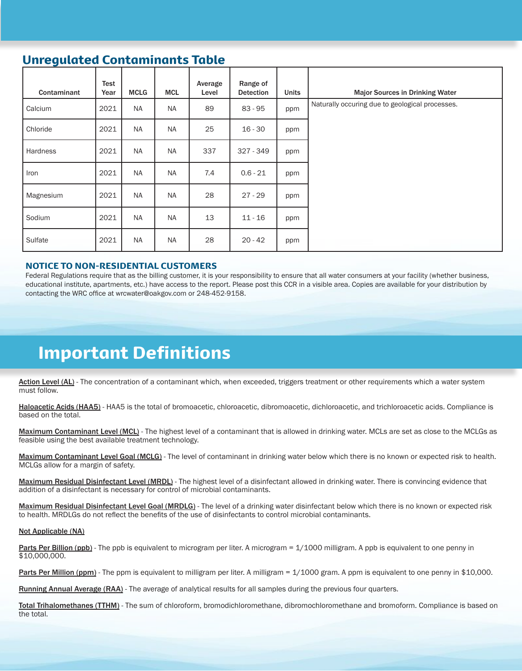# Unregulated Contaminants Table

| Contaminant | Test<br>Year | <b>MCLG</b> | <b>MCL</b> | Average<br>Level | Range of<br><b>Detection</b> | <b>Units</b> | <b>Major Sources in Drinking Water</b>          |
|-------------|--------------|-------------|------------|------------------|------------------------------|--------------|-------------------------------------------------|
| Calcium     | 2021         | <b>NA</b>   | <b>NA</b>  | 89               | $83 - 95$                    | ppm          | Naturally occuring due to geological processes. |
| Chloride    | 2021         | <b>NA</b>   | <b>NA</b>  | 25               | $16 - 30$                    | ppm          |                                                 |
| Hardness    | 2021         | <b>NA</b>   | <b>NA</b>  | 337              | 327 - 349                    | ppm          |                                                 |
| Iron        | 2021         | <b>NA</b>   | <b>NA</b>  | 7.4              | $0.6 - 21$                   | ppm          |                                                 |
| Magnesium   | 2021         | <b>NA</b>   | <b>NA</b>  | 28               | $27 - 29$                    | ppm          |                                                 |
| Sodium      | 2021         | <b>NA</b>   | <b>NA</b>  | 13               | $11 - 16$                    | ppm          |                                                 |
| Sulfate     | 2021         | <b>NA</b>   | <b>NA</b>  | 28               | $20 - 42$                    | ppm          |                                                 |

#### NOTICE TO NON-RESIDENTIAL CUSTOMERS

Federal Regulations require that as the billing customer, it is your responsibility to ensure that all water consumers at your facility (whether business, educational institute, apartments, etc.) have access to the report. Please post this CCR in a visible area. Copies are available for your distribution by contacting the WRC office at wrcwater@oakgov.com or 248-452-9158.

# Important Definitions

Action Level (AL) - The concentration of a contaminant which, when exceeded, triggers treatment or other requirements which a water system must follow.

Haloacetic Acids (HAA5) - HAA5 is the total of bromoacetic, chloroacetic, dibromoacetic, dichloroacetic, and trichloroacetic acids. Compliance is based on the total.

Maximum Contaminant Level (MCL) - The highest level of a contaminant that is allowed in drinking water. MCLs are set as close to the MCLGs as feasible using the best available treatment technology.

Maximum Contaminant Level Goal (MCLG) - The level of contaminant in drinking water below which there is no known or expected risk to health. MCLGs allow for a margin of safety.

Maximum Residual Disinfectant Level (MRDL) - The highest level of a disinfectant allowed in drinking water. There is convincing evidence that addition of a disinfectant is necessary for control of microbial contaminants.

Maximum Residual Disinfectant Level Goal (MRDLG) - The level of a drinking water disinfectant below which there is no known or expected risk to health. MRDLGs do not reflect the benefits of the use of disinfectants to control microbial contaminants.

#### Not Applicable (NA)

Parts Per Billion (ppb) - The ppb is equivalent to microgram per liter. A microgram = 1/1000 milligram. A ppb is equivalent to one penny in \$10,000,000.

Parts Per Million (ppm) - The ppm is equivalent to milligram per liter. A milligram = 1/1000 gram. A ppm is equivalent to one penny in \$10,000.

Running Annual Average (RAA) - The average of analytical results for all samples during the previous four quarters.

Total Trihalomethanes (TTHM) - The sum of chloroform, bromodichloromethane, dibromochloromethane and bromoform. Compliance is based on the total.